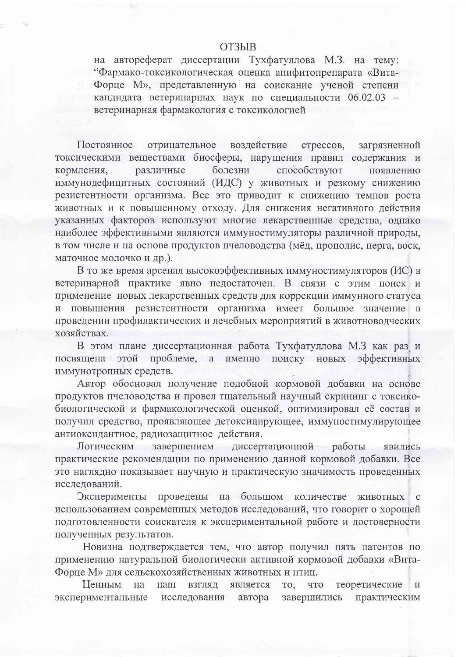## **ОТЗЫВ**

на автореферат диссертации Тухфатуллова М.З. на тему: "Фармако-токсикологическая оценка апифитопрепарата «Вита-Форце М», представленную на соискание ученой степени кандидата ветеринарных наук по специальности 06.02.03 ветеринарная фармакология с токсикологией

воздействие Постоянное отрицательное стрессов, загрязненной токсическими веществами биосферы, нарушения правил содержания и болезни способствуют кормления, различные появлению иммунодефицитных состояний (ИДС) у животных и резкому снижению резистентности организма. Все это приводит к снижению темпов роста животных и к повышенному отходу. Для снижения негативного действия указанных факторов используют многие лекарственные средства, однако наиболее эффективными являются иммуностимуляторы различной природы, в том числе и на основе продуктов пчеловодства (мёд, прополис, перга, воск, маточное молочко и др.).

В то же время арсенал высокоэффективных иммуностимуляторов (ИС) в ветеринарной практике явно недостаточен. В связи с этим поиск и применение новых лекарственных средств для коррекции иммунного статуса и повышения резистентности организма имеет большое значение в проведении профилактических и лечебных мероприятий в животноводческих хозяйствах.

В этом плане диссертационная работа Тухфатуллова М.З как раз и посвящена этой проблеме, а именно поиску новых эффективных иммунотропных средств.

Автор обосновал получение подобной кормовой добавки на основе продуктов пчеловодства и провел тщательный научный скрининг с токсикобиологической и фармакологической оценкой, оптимизировал её состав и получил средство, проявляющее детоксицирующее, иммуностимулирующее антиоксидантное, радиозащитное действия.

Логическим завершением работы диссертационной явились практические рекомендации по применению данной кормовой добавки. Все это наглядно показывает научную и практическую значимость проведенных исследований.

проведены на большом Эксперименты количестве ЖИВОТНЫХ  $\mathbf{C}$ использованием современных методов исследований, что говорит о хорошей подготовленности соискателя к экспериментальной работе и достоверности полученных результатов.

Новизна подтверждается тем, что автор получил пять патентов по применению натуральной биологически активной кормовой добавки «Вита-Форце М» для сельскохозяйственных животных и птиц.

Ценным на наш взгляд является TO, что теоретические экспериментальные исследования автора завершились практическим